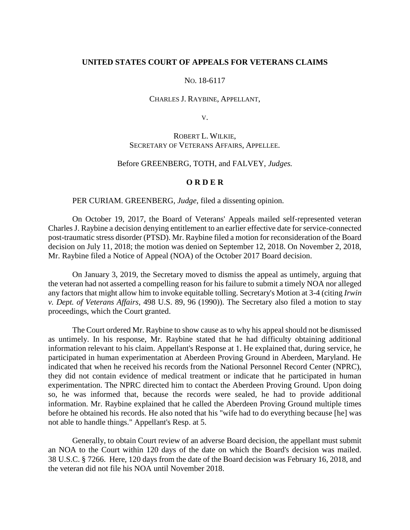### **UNITED STATES COURT OF APPEALS FOR VETERANS CLAIMS**

# NO. 18-6117

#### CHARLES J. RAYBINE, APPELLANT,

V.

# ROBERT L. WILKIE, SECRETARY OF VETERANS AFFAIRS, APPELLEE.

### Before GREENBERG, TOTH, and FALVEY, *Judges.*

## **O R D E R**

### PER CURIAM. GREENBERG, *Judge*, filed a dissenting opinion.

On October 19, 2017, the Board of Veterans' Appeals mailed self-represented veteran Charles J. Raybine a decision denying entitlement to an earlier effective date for service-connected post-traumatic stress disorder (PTSD). Mr. Raybine filed a motion for reconsideration of the Board decision on July 11, 2018; the motion was denied on September 12, 2018. On November 2, 2018, Mr. Raybine filed a Notice of Appeal (NOA) of the October 2017 Board decision.

On January 3, 2019, the Secretary moved to dismiss the appeal as untimely, arguing that the veteran had not asserted a compelling reason for his failure to submit a timely NOA nor alleged any factors that might allow him to invoke equitable tolling. Secretary's Motion at 3-4 (citing *Irwin v. Dept. of Veterans Affairs*, 498 U.S. 89, 96 (1990)). The Secretary also filed a motion to stay proceedings, which the Court granted.

The Court ordered Mr. Raybine to show cause as to why his appeal should not be dismissed as untimely. In his response, Mr. Raybine stated that he had difficulty obtaining additional information relevant to his claim. Appellant's Response at 1. He explained that, during service, he participated in human experimentation at Aberdeen Proving Ground in Aberdeen, Maryland. He indicated that when he received his records from the National Personnel Record Center (NPRC), they did not contain evidence of medical treatment or indicate that he participated in human experimentation. The NPRC directed him to contact the Aberdeen Proving Ground. Upon doing so, he was informed that, because the records were sealed, he had to provide additional information. Mr. Raybine explained that he called the Aberdeen Proving Ground multiple times before he obtained his records. He also noted that his "wife had to do everything because [he] was not able to handle things." Appellant's Resp. at 5.

Generally, to obtain Court review of an adverse Board decision, the appellant must submit an NOA to the Court within 120 days of the date on which the Board's decision was mailed. 38 U.S.C. § 7266. Here, 120 days from the date of the Board decision was February 16, 2018, and the veteran did not file his NOA until November 2018.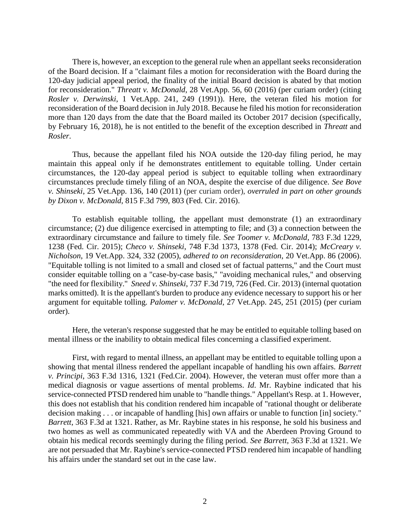There is, however, an exception to the general rule when an appellant seeks reconsideration of the Board decision. If a "claimant files a motion for reconsideration with the Board during the 120-day judicial appeal period, the finality of the initial Board decision is abated by that motion for reconsideration." *Threatt v. McDonald*, 28 Vet.App. 56, 60 (2016) (per curiam order) (citing *Rosler v. Derwinski*, 1 Vet.App. 241, 249 (1991)). Here, the veteran filed his motion for reconsideration of the Board decision in July 2018. Because he filed his motion for reconsideration more than 120 days from the date that the Board mailed its October 2017 decision (specifically, by February 16, 2018), he is not entitled to the benefit of the exception described in *Threatt* and *Rosler*.

Thus, because the appellant filed his NOA outside the 120-day filing period, he may maintain this appeal only if he demonstrates entitlement to equitable tolling. Under certain circumstances, the 120-day appeal period is subject to equitable tolling when extraordinary circumstances preclude timely filing of an NOA, despite the exercise of due diligence. *See Bove v. Shinseki*, 25 Vet.App. 136, 140 (2011) (per curiam order), *overruled in part on other grounds by Dixon v. McDonald*[, 815 F.3d 799, 803 \(Fed. Cir. 2016\).](https://1.next.westlaw.com/Link/Document/FullText?findType=Y&serNum=2038438852&pubNum=0000506&originatingDoc=I19b844a0a8d011e7a4449fe394270729&refType=RP&fi=co_pp_sp_506_803&originationContext=document&transitionType=DocumentItem&contextData=(sc.Search)#co_pp_sp_506_803)

To establish equitable tolling, the appellant must demonstrate (1) an extraordinary circumstance; (2) due diligence exercised in attempting to file; and (3) a connection between the extraordinary circumstance and failure to timely file. *See Toomer v. McDonald*, 783 F.3d 1229, 1238 (Fed. Cir. 2015); *Checo v. Shinseki*, 748 F.3d 1373, 1378 (Fed. Cir. 2014); *McCreary v. Nicholson*, 19 Vet.App. 324, 332 (2005), *adhered to on reconsideration*, 20 Vet.App. 86 (2006). "Equitable tolling is not limited to a small and closed set of factual patterns," and the Court must consider equitable tolling on a "case-by-case basis," "avoiding mechanical rules," and observing "the need for flexibility." *Sneed v. Shinseki*, 737 F.3d 719, 726 (Fed. Cir. 2013) (internal quotation marks omitted). It is the appellant's burden to produce any evidence necessary to support his or her argument for equitable tolling. *Palomer v. McDonald*, 27 Vet.App. 245, 251 (2015) (per curiam order).

Here, the veteran's response suggested that he may be entitled to equitable tolling based on mental illness or the inability to obtain medical files concerning a classified experiment.

First, with regard to mental illness, an appellant may be entitled to equitable tolling upon a showing that mental illness rendered the appellant incapable of handling his own affairs. *Barrett v. Principi*, 363 F.3d 1316, 1321 (Fed.Cir. 2004). However, the veteran must offer more than a medical diagnosis or vague assertions of mental problems. *Id*. Mr. Raybine indicated that his service-connected PTSD rendered him unable to "handle things." Appellant's Resp. at 1. However, this does not establish that his condition rendered him incapable of "rational thought or deliberate decision making . . . or incapable of handling [his] own affairs or unable to function [in] society." *Barrett*, 363 F.3d at 1321. Rather, as Mr. Raybine states in his response, he sold his business and two homes as well as communicated repeatedly with VA and the Aberdeen Proving Ground to obtain his medical records seemingly during the filing period. *See Barrett*, 363 F.3d at 1321. We are not persuaded that Mr. Raybine's service-connected PTSD rendered him incapable of handling his affairs under the standard set out in the case law.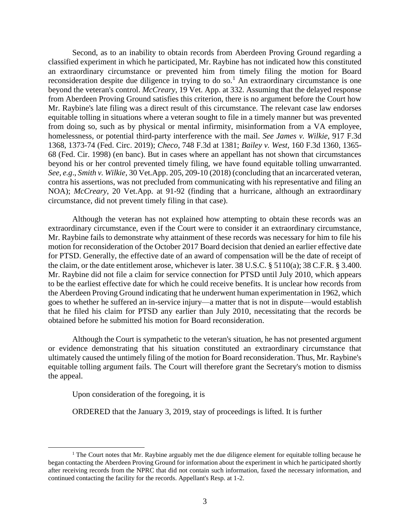Second, as to an inability to obtain records from Aberdeen Proving Ground regarding a classified experiment in which he participated, Mr. Raybine has not indicated how this constituted an extraordinary circumstance or prevented him from timely filing the motion for Board reconsideration despite due diligence in trying to do so.<sup>1</sup> An extraordinary circumstance is one beyond the veteran's control. *McCreary*, 19 Vet. App. at 332. Assuming that the delayed response from Aberdeen Proving Ground satisfies this criterion, there is no argument before the Court how Mr. Raybine's late filing was a direct result of this circumstance. The relevant case law endorses equitable tolling in situations where a veteran sought to file in a timely manner but was prevented from doing so, such as by physical or mental infirmity, misinformation from a VA employee, homelessness, or potential third-party interference with the mail. *See James v. Wilkie*, 917 F.3d 1368, 1373-74 (Fed. Circ. 2019); *Checo*, 748 F.3d at 1381; *Bailey v. West*, 160 F.3d 1360, 1365- 68 (Fed. Cir. 1998) (en banc). But in cases where an appellant has not shown that circumstances beyond his or her control prevented timely filing, we have found equitable tolling unwarranted. *See, e.g*., *Smith v. Wilkie*, 30 Vet.App. 205, 209-10 (2018) (concluding that an incarcerated veteran, contra his assertions, was not precluded from communicating with his representative and filing an NOA); *McCreary*, 20 Vet.App. at 91-92 (finding that a hurricane, although an extraordinary circumstance, did not prevent timely filing in that case).

Although the veteran has not explained how attempting to obtain these records was an extraordinary circumstance, even if the Court were to consider it an extraordinary circumstance, Mr. Raybine fails to demonstrate why attainment of these records was necessary for him to file his motion for reconsideration of the October 2017 Board decision that denied an earlier effective date for PTSD. Generally, the effective date of an award of compensation will be the date of receipt of the claim, or the date entitlement arose, whichever is later. 38 U.S.C. § 5110(a); 38 C.F.R. § 3.400. Mr. Raybine did not file a claim for service connection for PTSD until July 2010, which appears to be the earliest effective date for which he could receive benefits. It is unclear how records from the Aberdeen Proving Ground indicating that he underwent human experimentation in 1962, which goes to whether he suffered an in-service injury—a matter that is not in dispute—would establish that he filed his claim for PTSD any earlier than July 2010, necessitating that the records be obtained before he submitted his motion for Board reconsideration.

Although the Court is sympathetic to the veteran's situation, he has not presented argument or evidence demonstrating that his situation constituted an extraordinary circumstance that ultimately caused the untimely filing of the motion for Board reconsideration. Thus, Mr. Raybine's equitable tolling argument fails. The Court will therefore grant the Secretary's motion to dismiss the appeal.

Upon consideration of the foregoing, it is

 $\overline{\phantom{a}}$ 

ORDERED that the January 3, 2019, stay of proceedings is lifted. It is further

<sup>&</sup>lt;sup>1</sup> The Court notes that Mr. Raybine arguably met the due diligence element for equitable tolling because he began contacting the Aberdeen Proving Ground for information about the experiment in which he participated shortly after receiving records from the NPRC that did not contain such information, faxed the necessary information, and continued contacting the facility for the records. Appellant's Resp. at 1-2.